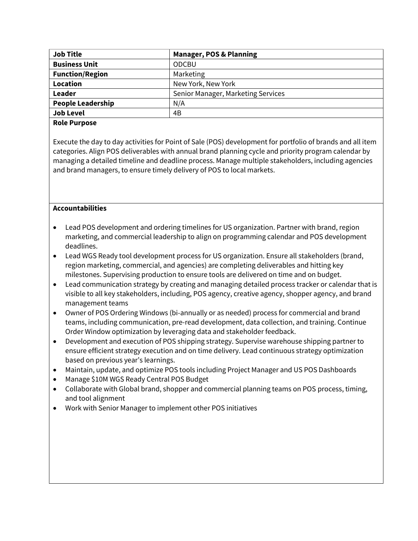| <b>Job Title</b>         | <b>Manager, POS &amp; Planning</b> |  |
|--------------------------|------------------------------------|--|
| <b>Business Unit</b>     | <b>ODCBU</b>                       |  |
| <b>Function/Region</b>   | Marketing                          |  |
| <b>Location</b>          | New York, New York                 |  |
| Leader                   | Senior Manager, Marketing Services |  |
| <b>People Leadership</b> | N/A                                |  |
| <b>Job Level</b>         | 4B                                 |  |
|                          |                                    |  |

## **Role Purpose**

Execute the day to day activities for Point of Sale (POS) development for portfolio of brands and all item categories. Align POS deliverables with annual brand planning cycle and priority program calendar by managing a detailed timeline and deadline process. Manage multiple stakeholders, including agencies and brand managers, to ensure timely delivery of POS to local markets.

## **Accountabilities**

- Lead POS development and ordering timelines for US organization. Partner with brand, region marketing, and commercial leadership to align on programming calendar and POS development deadlines.
- Lead WGS Ready tool development process for US organization. Ensure all stakeholders (brand, region marketing, commercial, and agencies) are completing deliverables and hitting key milestones. Supervising production to ensure tools are delivered on time and on budget.
- Lead communication strategy by creating and managing detailed process tracker or calendar that is visible to all key stakeholders, including, POS agency, creative agency, shopper agency, and brand management teams
- Owner of POS Ordering Windows (bi-annually or as needed) process for commercial and brand teams, including communication, pre-read development, data collection, and training. Continue Order Window optimization by leveraging data and stakeholder feedback.
- Development and execution of POS shipping strategy. Supervise warehouse shipping partner to ensure efficient strategy execution and on time delivery. Lead continuous strategy optimization based on previous year's learnings.
- Maintain, update, and optimize POS tools including Project Manager and US POS Dashboards
- Manage \$10M WGS Ready Central POS Budget
- Collaborate with Global brand, shopper and commercial planning teams on POS process, timing, and tool alignment
- Work with Senior Manager to implement other POS initiatives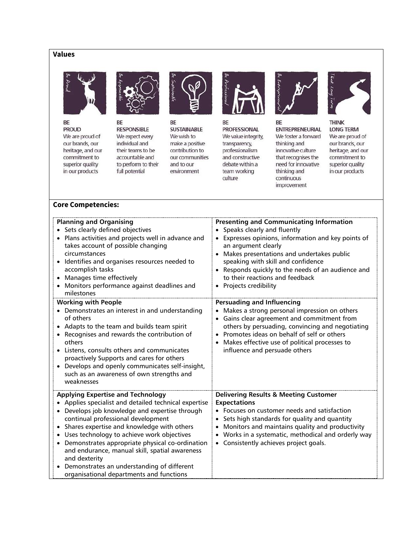# **Values**



BE

**PROUD** We are proud of our brands, our heritage, and our commitment to superior quality in our products



BE **RESPONSIBLE** We expect every individual and their teams to be accountable and to perform to their full potential



BE **SUSTAINABLE** We wish to make a positive contribution to our communities and to our environment



BE **PROFESSIONAL** We value integrity, transparency, professionalism and constructive debate within a team working culture



BE **ENTREPRENEURIAL** We foster a forward thinking and innovative culture that recognises the need for innovative thinking and continuous improvement



**THINK LONG TERM** We are proud of our brands, our heritage, and our commitment to superior quality in our products

#### **Core Competencies:**

| <b>Planning and Organising</b><br>• Sets clearly defined objectives<br>Plans activities and projects well in advance and<br>takes account of possible changing<br>circumstances<br>Identifies and organises resources needed to<br>accomplish tasks<br>Manages time effectively<br>Monitors performance against deadlines and<br>milestones                                                                                                                                                       | <b>Presenting and Communicating Information</b><br>• Speaks clearly and fluently<br>Expresses opinions, information and key points of<br>an argument clearly<br>• Makes presentations and undertakes public<br>speaking with skill and confidence<br>• Responds quickly to the needs of an audience and<br>to their reactions and feedback<br>• Projects credibility |
|---------------------------------------------------------------------------------------------------------------------------------------------------------------------------------------------------------------------------------------------------------------------------------------------------------------------------------------------------------------------------------------------------------------------------------------------------------------------------------------------------|----------------------------------------------------------------------------------------------------------------------------------------------------------------------------------------------------------------------------------------------------------------------------------------------------------------------------------------------------------------------|
| <b>Working with People</b><br>• Demonstrates an interest in and understanding<br>of others<br>Adapts to the team and builds team spirit<br>• Recognises and rewards the contribution of<br>others<br>Listens, consults others and communicates<br>proactively Supports and cares for others<br>Develops and openly communicates self-insight,<br>such as an awareness of own strengths and<br>weaknesses                                                                                          | <b>Persuading and Influencing</b><br>• Makes a strong personal impression on others<br>Gains clear agreement and commitment from<br>others by persuading, convincing and negotiating<br>• Promotes ideas on behalf of self or others<br>• Makes effective use of political processes to<br>influence and persuade others                                             |
| <b>Applying Expertise and Technology</b><br>Applies specialist and detailed technical expertise<br>Develops job knowledge and expertise through<br>continual professional development<br>Shares expertise and knowledge with others<br>Uses technology to achieve work objectives<br>Demonstrates appropriate physical co-ordination<br>and endurance, manual skill, spatial awareness<br>and dexterity<br>Demonstrates an understanding of different<br>organisational departments and functions | <b>Delivering Results &amp; Meeting Customer</b><br><b>Expectations</b><br>• Focuses on customer needs and satisfaction<br>Sets high standards for quality and quantity<br>• Monitors and maintains quality and productivity<br>• Works in a systematic, methodical and orderly way<br>• Consistently achieves project goals.                                        |